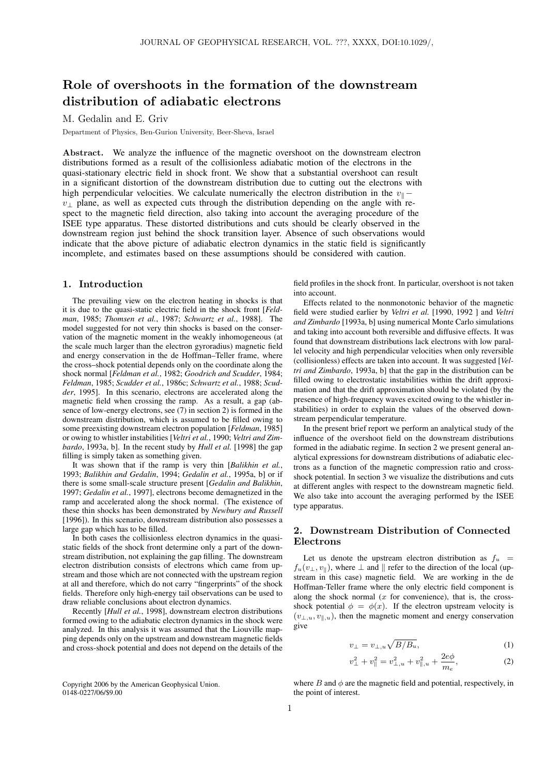# Role of overshoots in the formation of the downstream distribution of adiabatic electrons

M. Gedalin and E. Griv

Department of Physics, Ben-Gurion University, Beer-Sheva, Israel

Abstract. We analyze the influence of the magnetic overshoot on the downstream electron distributions formed as a result of the collisionless adiabatic motion of the electrons in the quasi-stationary electric field in shock front. We show that a substantial overshoot can result in a significant distortion of the downstream distribution due to cutting out the electrons with high perpendicular velocities. We calculate numerically the electron distribution in the  $v_{\parallel}$ −  $v_{\perp}$  plane, as well as expected cuts through the distribution depending on the angle with respect to the magnetic field direction, also taking into account the averaging procedure of the ISEE type apparatus. These distorted distributions and cuts should be clearly observed in the downstream region just behind the shock transition layer. Absence of such observations would indicate that the above picture of adiabatic electron dynamics in the static field is significantly incomplete, and estimates based on these assumptions should be considered with caution.

### 1. Introduction

The prevailing view on the electron heating in shocks is that it is due to the quasi-static electric field in the shock front [*Feldman*, 1985; *Thomsen et al.*, 1987; *Schwartz et al.*, 1988]. The model suggested for not very thin shocks is based on the conservation of the magnetic moment in the weakly inhomogeneous (at the scale much larger than the electron gyroradius) magnetic field and energy conservation in the de Hoffman–Teller frame, where the cross–shock potential depends only on the coordinate along the shock normal [*Feldman et al.*, 1982; *Goodrich and Scudder*, 1984; *Feldman*, 1985; *Scudder et al.*, 1986c; *Schwartz et al.*, 1988; *Scudder*, 1995]. In this scenario, electrons are accelerated along the magnetic field when crossing the ramp. As a result, a gap (absence of low-energy electrons, see (7) in section 2) is formed in the downstream distribution, which is assumed to be filled owing to some preexisting downstream electron population [*Feldman*, 1985] or owing to whistler instabilities [*Veltri et al.*, 1990; *Veltri and Zimbardo*, 1993a, b]. In the recent study by *Hull et al.* [1998] the gap filling is simply taken as something given.

It was shown that if the ramp is very thin [*Balikhin et al.*, 1993; *Balikhin and Gedalin*, 1994; *Gedalin et al.*, 1995a, b] or if there is some small-scale structure present [*Gedalin and Balikhin*, 1997; *Gedalin et al.*, 1997], electrons become demagnetized in the ramp and accelerated along the shock normal. (The existence of these thin shocks has been demonstrated by *Newbury and Russell* [1996]). In this scenario, downstream distribution also possesses a large gap which has to be filled.

In both cases the collisionless electron dynamics in the quasistatic fields of the shock front determine only a part of the downstream distribution, not explaining the gap filling. The downstream electron distribution consists of electrons which came from upstream and those which are not connected with the upstream region at all and therefore, which do not carry "fingerprints" of the shock fields. Therefore only high-energy tail observations can be used to draw reliable conclusions about electron dynamics.

Recently [*Hull et al.*, 1998], downstream electron distributions formed owing to the adiabatic electron dynamics in the shock were analyzed. In this analysis it was assumed that the Liouville mapping depends only on the upstream and downstream magnetic fields and cross-shock potential and does not depend on the details of the

Copyright 2006 by the American Geophysical Union. 0148-0227/06/\$9.00

field profiles in the shock front. In particular, overshoot is not taken into account.

Effects related to the nonmonotonic behavior of the magnetic field were studied earlier by *Veltri et al.* [1990, 1992 ] and *Veltri and Zimbardo* [1993a, b] using numerical Monte Carlo simulations and taking into account both reversible and diffusive effects. It was found that downstream distributions lack electrons with low parallel velocity and high perpendicular velocities when only reversible (collisionless) effects are taken into account. It was suggested [*Veltri and Zimbardo*, 1993a, b] that the gap in the distribution can be filled owing to electrostatic instabilities within the drift approximation and that the drift approximation should be violated (by the presence of high-frequency waves excited owing to the whistler instabilities) in order to explain the values of the observed downstream perpendicular temperature.

In the present brief report we perform an analytical study of the influence of the overshoot field on the downstream distributions formed in the adiabatic regime. In section 2 we present general analytical expressions for downstream distributions of adiabatic electrons as a function of the magnetic compression ratio and crossshock potential. In section 3 we visualize the distributions and cuts at different angles with respect to the downstream magnetic field. We also take into account the averaging performed by the ISEE type apparatus.

# 2. Downstream Distribution of Connected Electrons

Let us denote the upstream electron distribution as  $f_u$  =  $f_u(v_\perp, v_\parallel)$ , where  $\perp$  and  $\parallel$  refer to the direction of the local (upstream in this case) magnetic field. We are working in the de Hoffman-Teller frame where the only electric field component is along the shock normal  $(x$  for convenience), that is, the crossshock potential  $\phi = \phi(x)$ . If the electron upstream velocity is  $(v_{\perp,u}, v_{\parallel,u})$ , then the magnetic moment and energy conservation give

$$
v_{\perp} = v_{\perp,u} \sqrt{B/B_u},\tag{1}
$$

$$
v_{\perp}^{2} + v_{\parallel}^{2} = v_{\perp,u}^{2} + v_{\parallel,u}^{2} + \frac{2e\phi}{m_{e}},
$$
\n(2)

where  $B$  and  $\phi$  are the magnetic field and potential, respectively, in the point of interest.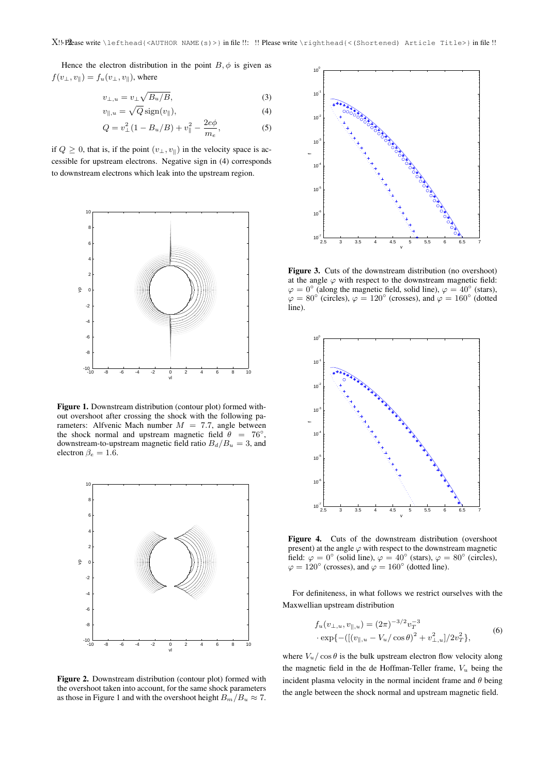Hence the electron distribution in the point  $B, \phi$  is given as  $f(v_{\perp}, v_{\parallel}) = f_u(v_{\perp}, v_{\parallel})$ , where

$$
v_{\perp,u} = v_{\perp} \sqrt{B_u/B},\tag{3}
$$

$$
v_{\parallel, u} = \sqrt{Q} \operatorname{sign}(v_{\parallel}), \tag{4}
$$

$$
Q = v_{\perp}^{2} (1 - B_{u}/B) + v_{\parallel}^{2} - \frac{2e\phi}{m_{e}},
$$
 (5)

if  $Q \geq 0$ , that is, if the point  $(v_{\perp}, v_{\parallel})$  in the velocity space is accessible for upstream electrons. Negative sign in (4) corresponds to downstream electrons which leak into the upstream region.



Figure 1. Downstream distribution (contour plot) formed without overshoot after crossing the shock with the following parameters: Alfvenic Mach number  $M = 7.7$ , angle between the shock normal and upstream magnetic field  $\theta = 76^{\circ}$ , downstream-to-upstream magnetic field ratio  $B_d/B_u = 3$ , and electron  $\beta_e = 1.\overline{6}$ .



Figure 2. Downstream distribution (contour plot) formed with the overshoot taken into account, for the same shock parameters as those in Figure 1 and with the overshoot height  $B_m/B_u \approx 7$ .



Figure 3. Cuts of the downstream distribution (no overshoot) at the angle  $\varphi$  with respect to the downstream magnetic field:  $\varphi = 0^{\circ}$  (along the magnetic field, solid line),  $\varphi = 40^{\circ}$  (stars),  $\varphi = 80^{\circ}$  (circles),  $\varphi = 120^{\circ}$  (crosses), and  $\varphi = 160^{\circ}$  (dotted line).



Figure 4. Cuts of the downstream distribution (overshoot present) at the angle  $\varphi$  with respect to the downstream magnetic field:  $\varphi = 0^{\circ}$  (solid line),  $\varphi = 40^{\circ}$  (stars),  $\varphi = 80^{\circ}$  (circles),  $\varphi = 120^{\circ}$  (crosses), and  $\varphi = 160^{\circ}$  (dotted line).

For definiteness, in what follows we restrict ourselves with the Maxwellian upstream distribution

$$
f_u(v_{\perp,u}, v_{\parallel,u}) = (2\pi)^{-3/2} v_T^{-3}
$$
  
\n
$$
\cdot \exp\{-([(v_{\parallel,u} - V_u/\cos\theta)^2 + v_{\perp,u}^2]/2v_T^2\},
$$
\n(6)

where  $V_u / \cos \theta$  is the bulk upstream electron flow velocity along the magnetic field in the de Hoffman-Teller frame,  $V_u$  being the incident plasma velocity in the normal incident frame and  $\theta$  being the angle between the shock normal and upstream magnetic field.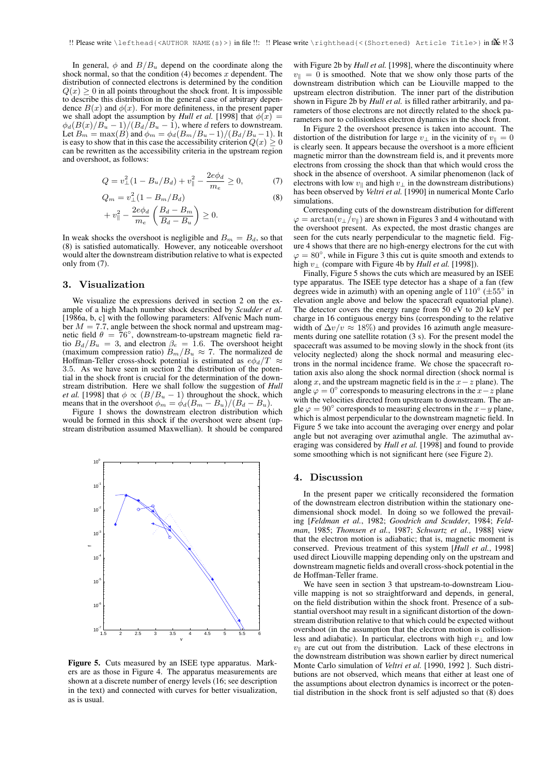In general,  $\phi$  and  $B/B_u$  depend on the coordinate along the shock normal, so that the condition  $(4)$  becomes x dependent. The distribution of connected electrons is determined by the condition  $Q(x) \geq 0$  in all points throughout the shock front. It is impossible to describe this distribution in the general case of arbitrary dependence  $B(x)$  and  $\phi(x)$ . For more definiteness, in the present paper we shall adopt the assumption by *Hull et al.* [1998] that  $\phi(x)$  =  $\phi_d(B(x)/B_u - 1)/(B_d/B_u - 1)$ , where d refers to downstream. Let  $B_m = \max(B)$  and  $\phi_m = \phi_d(B_m/B_u-1)/(B_d/B_u-1)$ . It is easy to show that in this case the accessibility criterion  $Q(x) > 0$ can be rewritten as the accessibility criteria in the upstream region and overshoot, as follows:

$$
Q = v_{\perp}^{2} (1 - B_{u}/B_{d}) + v_{\parallel}^{2} - \frac{2e\phi_{d}}{m_{e}} \ge 0, \tag{7}
$$

$$
Q_m = v_{\perp}^2 (1 - B_m / B_d)
$$
  
+  $v_{\parallel}^2 - \frac{2e\phi_d}{m_e} \left( \frac{B_d - B_m}{B_d - B_u} \right) \ge 0.$  (8)

In weak shocks the overshoot is negligible and  $B<sub>m</sub> = B<sub>d</sub>$ , so that (8) is satisfied automatically. However, any noticeable overshoot would alter the downstream distribution relative to what is expected only from (7).

#### 3. Visualization

We visualize the expressions derived in section 2 on the example of a high Mach number shock described by *Scudder et al.* [1986a, b, c] with the following parameters: Alfvenic Mach number  $M = 7.7$ , angle between the shock normal and upstream magnetic field  $\theta = 76^\circ$ , downstream-to-upstream magnetic field ratio  $B_d/B_u = 3$ , and electron  $\beta_e = 1.6$ . The overshoot height (maximum compression ratio)  $B_m / B_u \approx 7$ . The normalized de Hoffman-Teller cross-shock potential is estimated as  $e\phi_d/T \approx$ 3.5. As we have seen in section 2 the distribution of the potential in the shock front is crucial for the determination of the downstream distribution. Here we shall follow the suggestion of *Hull et al.* [1998] that  $\phi \propto (B/B_u - 1)$  throughout the shock, which means that in the overshoot  $\phi_m = \phi_d (B_m - B_u)/(B_d - B_u)$ .

Figure 1 shows the downstream electron distribution which would be formed in this shock if the overshoot were absent (upstream distribution assumed Maxwellian). It should be compared



Figure 5. Cuts measured by an ISEE type apparatus. Markers are as those in Figure 4. The apparatus measurements are shown at a discrete number of energy levels (16; see description in the text) and connected with curves for better visualization, as is usual.

with Figure 2b by *Hull et al.* [1998], where the discontinuity where  $v_{\parallel} = 0$  is smoothed. Note that we show only those parts of the downstream distribution which can be Liouville mapped to the upstream electron distribution. The inner part of the distribution shown in Figure 2b by *Hull et al.* is filled rather arbitrarily, and parameters of those electrons are not directly related to the shock parameters nor to collisionless electron dynamics in the shock front.

In Figure 2 the overshoot presence is taken into account. The distortion of the distribution for large  $v_{\perp}$  in the vicinity of  $v_{\perp} = 0$ is clearly seen. It appears because the overshoot is a more efficient magnetic mirror than the downstream field is, and it prevents more electrons from crossing the shock than that which would cross the shock in the absence of overshoot. A similar phenomenon (lack of electrons with low  $v_{\parallel}$  and high  $v_{\perp}$  in the downstream distributions) has been observed by *Veltri et al.* [1990] in numerical Monte Carlo simulations.

Corresponding cuts of the downstream distribution for different  $\varphi = \arctan(v_\perp/v_\parallel)$  are shown in Figures 3 and 4 withoutand with the overshoot present. As expected, the most drastic changes are seen for the cuts nearly perpendicular to the magnetic field. Figure 4 shows that there are no high-energy electrons for the cut with  $\varphi = 80^{\circ}$ , while in Figure 3 this cut is quite smooth and extends to high v<sup>⊥</sup> (compare with Figure 4b by *Hull et al.* [1998]).

Finally, Figure 5 shows the cuts which are measured by an ISEE type apparatus. The ISEE type detector has a shape of a fan (few degrees wide in azimuth) with an opening angle of  $110^{\circ}$  ( $\pm 55^{\circ}$  in elevation angle above and below the spacecraft equatorial plane). The detector covers the energy range from 50 eV to 20 keV per charge in 16 contiguous energy bins (corresponding to the relative width of  $\Delta v/v \approx 18\%$ ) and provides 16 azimuth angle measurements during one satellite rotation (3 s). For the present model the spacecraft was assumed to be moving slowly in the shock front (its velocity neglected) along the shock normal and measuring electrons in the normal incidence frame. We chose the spacecraft rotation axis also along the shock normal direction (shock normal is along x, and the upstream magnetic field is in the  $x-z$  plane). The angle  $\varphi = 0^{\circ}$  corresponds to measuring electrons in the  $x - z$  plane with the velocities directed from upstream to downstream. The angle  $\varphi = 90^{\circ}$  corresponds to measuring electrons in the  $x - y$  plane, which is almost perpendicular to the downstream magnetic field. In Figure 5 we take into account the averaging over energy and polar angle but not averaging over azimuthal angle. The azimuthal averaging was considered by *Hull et al.* [1998] and found to provide some smoothing which is not significant here (see Figure 2).

## 4. Discussion

In the present paper we critically reconsidered the formation of the downstream electron distribution within the stationary onedimensional shock model. In doing so we followed the prevailing [*Feldman et al.*, 1982; *Goodrich and Scudder*, 1984; *Feldman*, 1985; *Thomsen et al.*, 1987; *Schwartz et al.*, 1988] view that the electron motion is adiabatic; that is, magnetic moment is conserved. Previous treatment of this system [*Hull et al.*, 1998] used direct Liouville mapping depending only on the upstream and downstream magnetic fields and overall cross-shock potential in the de Hoffman-Teller frame.

We have seen in section 3 that upstream-to-downstream Liouville mapping is not so straightforward and depends, in general, on the field distribution within the shock front. Presence of a substantial overshoot may result in a significant distortion of the downstream distribution relative to that which could be expected without overshoot (in the assumption that the electron motion is collisionless and adiabatic). In particular, electrons with high  $v_{\perp}$  and low  $v_{\parallel}$  are cut out from the distribution. Lack of these electrons in the downstream distribution was shown earlier by direct numerical Monte Carlo simulation of *Veltri et al.* [1990, 1992 ]. Such distributions are not observed, which means that either at least one of the assumptions about electron dynamics is incorrect or the potential distribution in the shock front is self adjusted so that (8) does